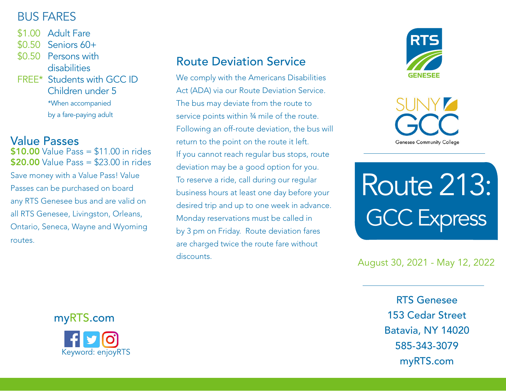## BUS FARES

- \$1.00 Adult Fare
- \$0.50 Seniors 60+
- \$0.50 Persons with disabilities
- FREE\* Students with GCC ID Children under 5 \*When accompanied by a fare-paying adult

### Value Passes

 $$10.00$  Value Pass  $= $11.00$  in rides **\$20.00** Value Pass = \$23.00 in rides Save money with a Value Pass! Value Passes can be purchased on board any RTS Genesee bus and are valid on all RTS Genesee, Livingston, Orleans, Ontario, Seneca, Wayne and Wyoming routes.

## Route Deviation Service

We comply with the Americans Disabilities Act (ADA) via our Route Deviation Service. The bus may deviate from the route to service points within ¾ mile of the route. Following an off-route deviation, the bus will return to the point on the route it left. If you cannot reach regular bus stops, route deviation may be a good option for you. To reserve a ride, call during our regular business hours at least one day before your desired trip and up to one week in advance. Monday reservations must be called in by 3 pm on Friday. Route deviation fares are charged twice the route fare without discounts.



**Genesee Community College** 

Route 213: GCC Express

#### August 30, 2021 - May 12, 2022

RTS Genesee 153 Cedar Street Batavia, NY 14020 585-343-3079 myRTS.com